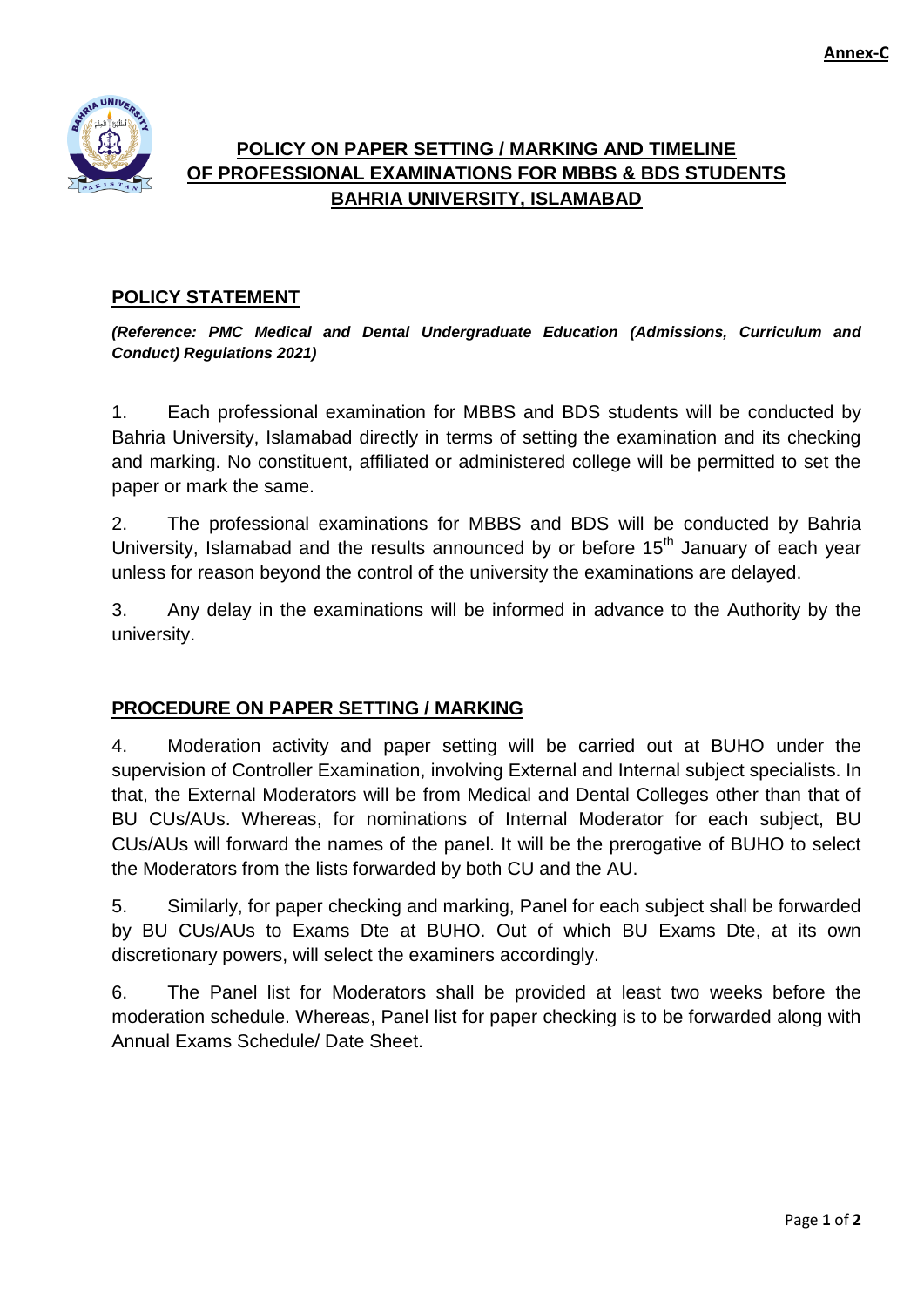

## **POLICY ON PAPER SETTING / MARKING AND TIMELINE OF PROFESSIONAL EXAMINATIONS FOR MBBS & BDS STUDENTS BAHRIA UNIVERSITY, ISLAMABAD**

## **POLICY STATEMENT**

*(Reference: PMC Medical and Dental Undergraduate Education (Admissions, Curriculum and Conduct) Regulations 2021)*

1. Each professional examination for MBBS and BDS students will be conducted by Bahria University, Islamabad directly in terms of setting the examination and its checking and marking. No constituent, affiliated or administered college will be permitted to set the paper or mark the same.

2. The professional examinations for MBBS and BDS will be conducted by Bahria University, Islamabad and the results announced by or before  $15<sup>th</sup>$  January of each year unless for reason beyond the control of the university the examinations are delayed.

3. Any delay in the examinations will be informed in advance to the Authority by the university.

## **PROCEDURE ON PAPER SETTING / MARKING**

4. Moderation activity and paper setting will be carried out at BUHO under the supervision of Controller Examination, involving External and Internal subject specialists. In that, the External Moderators will be from Medical and Dental Colleges other than that of BU CUs/AUs. Whereas, for nominations of Internal Moderator for each subject, BU CUs/AUs will forward the names of the panel. It will be the prerogative of BUHO to select the Moderators from the lists forwarded by both CU and the AU.

5. Similarly, for paper checking and marking, Panel for each subject shall be forwarded by BU CUs/AUs to Exams Dte at BUHO. Out of which BU Exams Dte, at its own discretionary powers, will select the examiners accordingly.

6. The Panel list for Moderators shall be provided at least two weeks before the moderation schedule. Whereas, Panel list for paper checking is to be forwarded along with Annual Exams Schedule/ Date Sheet.